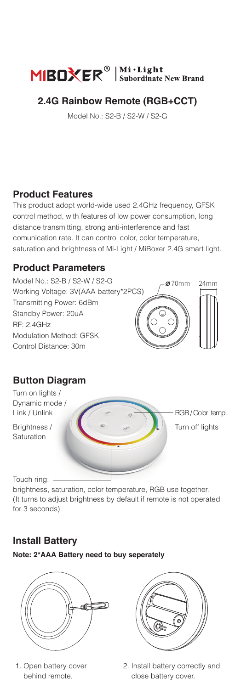

### **2.4G Rainbow Remote (RGB+CCT)**

Model No.: S2-B / S2-W / S2-G

#### **Product Features**

This product adopt world-wide used 2.4GHz frequency, GFSK control method, with features of low power consumption, long distance transmitting, strong anti-interference and fast comunication rate. It can control color, color temperature, saturation and brightness of Mi-Light / MiBoxer 2.4G smart light.

#### **Product Parameters**



# **Button Diagram**

Turn on lights / Dynamic mode / Link / Unlink

Brightness / Saturation

Touch ring: -

brightness, saturation, color temperature, RGB use together. (It turns to adjust brightness by default if remote is not operated for 3 seconds)

# **Install Battery**

**Note: 2\*AAA Battery need to buy seperately**



1. Open battery cover behind remote.



Turn off lights RGB / Color temp.

2. Install battery correctly and close battery cover.